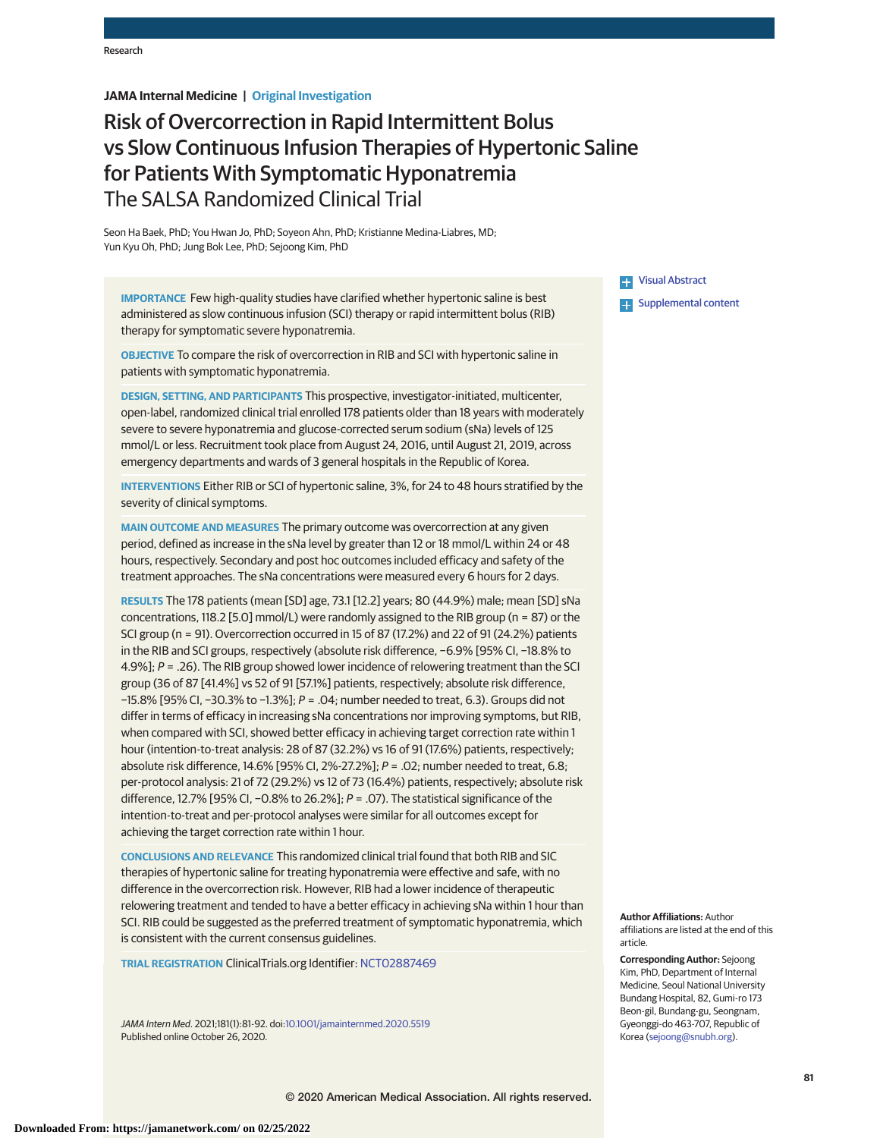# **JAMA Internal Medicine | Original Investigation**

# Risk of Overcorrection in Rapid Intermittent Bolus vs Slow Continuous Infusion Therapies of Hypertonic Saline for Patients With Symptomatic Hyponatremia The SALSA Randomized Clinical Trial

Seon Ha Baek, PhD; You Hwan Jo, PhD; Soyeon Ahn, PhD; Kristianne Medina-Liabres, MD; Yun Kyu Oh, PhD; Jung Bok Lee, PhD; Sejoong Kim, PhD

**IMPORTANCE** Few high-quality studies have clarified whether hypertonic saline is best administered as slow continuous infusion (SCI) therapy or rapid intermittent bolus (RIB) therapy for symptomatic severe hyponatremia.

**OBJECTIVE** To compare the risk of overcorrection in RIB and SCI with hypertonic saline in patients with symptomatic hyponatremia.

**DESIGN, SETTING, AND PARTICIPANTS** This prospective, investigator-initiated, multicenter, open-label, randomized clinical trial enrolled 178 patients older than 18 years with moderately severe to severe hyponatremia and glucose-corrected serum sodium (sNa) levels of 125 mmol/L or less. Recruitment took place from August 24, 2016, until August 21, 2019, across emergency departments and wards of 3 general hospitals in the Republic of Korea.

**INTERVENTIONS** Either RIB or SCI of hypertonic saline, 3%, for 24 to 48 hours stratified by the severity of clinical symptoms.

**MAIN OUTCOME AND MEASURES** The primary outcome was overcorrection at any given period, defined as increase in the sNa level by greater than 12 or 18 mmol/L within 24 or 48 hours, respectively. Secondary and post hoc outcomes included efficacy and safety of the treatment approaches. The sNa concentrations were measured every 6 hours for 2 days.

**RESULTS** The 178 patients (mean [SD] age, 73.1 [12.2] years; 80 (44.9%) male; mean [SD] sNa concentrations, 118.2 [5.0] mmol/L) were randomly assigned to the RIB group (n = 87) or the SCI group (n = 91). Overcorrection occurred in 15 of 87 (17.2%) and 22 of 91 (24.2%) patients in the RIB and SCI groups, respectively (absolute risk difference, −6.9% [95% CI, −18.8% to 4.9%];  $P = .26$ ). The RIB group showed lower incidence of relowering treatment than the SCI group (36 of 87 [41.4%] vs 52 of 91 [57.1%] patients, respectively; absolute risk difference, −15.8% [95% CI, −30.3% to −1.3%]; P = .04; number needed to treat, 6.3). Groups did not differ in terms of efficacy in increasing sNa concentrations nor improving symptoms, but RIB, when compared with SCI, showed better efficacy in achieving target correction rate within 1 hour (intention-to-treat analysis: 28 of 87 (32.2%) vs 16 of 91 (17.6%) patients, respectively; absolute risk difference, 14.6% [95% CI, 2%-27.2%];  $P = .02$ ; number needed to treat, 6.8; per-protocol analysis: 21 of 72 (29.2%) vs 12 of 73 (16.4%) patients, respectively; absolute risk difference, 12.7% [95% CI, −0.8% to 26.2%]; P = .07). The statistical significance of the intention-to-treat and per-protocol analyses were similar for all outcomes except for achieving the target correction rate within 1 hour.

**CONCLUSIONS AND RELEVANCE** This randomized clinical trial found that both RIB and SIC therapies of hypertonic saline for treating hyponatremia were effective and safe, with no difference in the overcorrection risk. However, RIB had a lower incidence of therapeutic relowering treatment and tended to have a better efficacy in achieving sNa within 1 hour than SCI. RIB could be suggested as the preferred treatment of symptomatic hyponatremia, which is consistent with the current consensus guidelines.

**TRIAL REGISTRATION** ClinicalTrials.org Identifier: [NCT02887469](https://clinicaltrials.gov/ct2/show/NCT02887469?term=NCT02887469&draw=2&rank=1)

JAMA Intern Med. 2021;181(1):81-92. doi[:10.1001/jamainternmed.2020.5519](https://jamanetwork.com/journals/jama/fullarticle/10.1001/jamainternmed.2020.5519?utm_campaign=articlePDF%26utm_medium=articlePDFlink%26utm_source=articlePDF%26utm_content=jamainternmed.2020.5519) Published online October 26, 2020.

[Visual Abstract](https://jamanetwork.com/journals/jama/fullarticle/10.1001/jamainternmed.2020.5519?utm_campaign=articlePDF%26utm_medium=articlePDFlink%26utm_source=articlePDF%26utm_content=jamainternmed.2020.5519) **[Supplemental content](https://jamanetwork.com/journals/imd/fullarticle/10.1001/jamainternmed.2020.5519?utm_campaign=articlePDF%26utm_medium=articlePDFlink%26utm_source=articlePDF%26utm_content=jamainternmed.2020.5519)** 

**Author Affiliations:** Author affiliations are listed at the end of this article.

**Corresponding Author:** Sejoong Kim, PhD, Department of Internal Medicine, Seoul National University Bundang Hospital, 82, Gumi-ro 173 Beon-gil, Bundang-gu, Seongnam, Gyeonggi-do 463-707, Republic of Korea [\(sejoong@snubh.org\)](mailto:sejoong@snubh.org).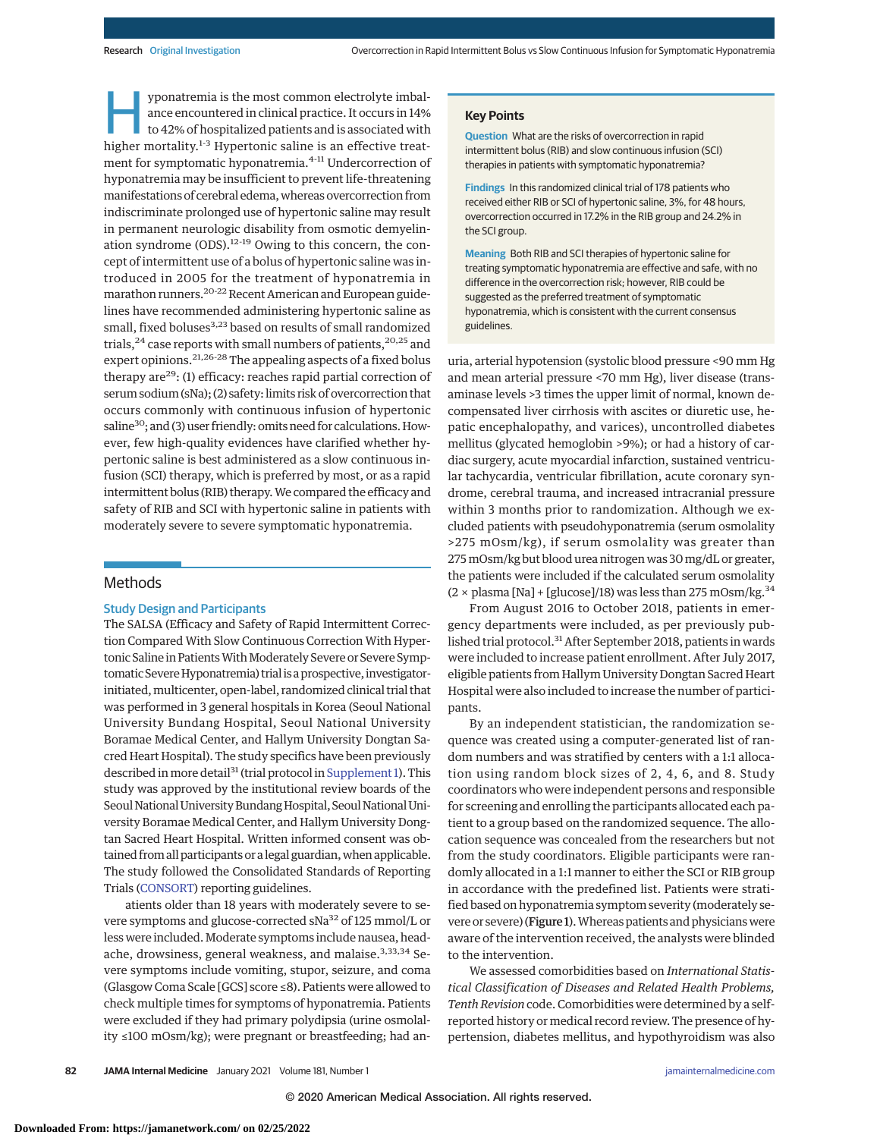yponatremia is the most common electrolyte imbalance encountered in clinical practice. It occurs in 14%<br>to 42% of hospitalized patients and is associated with<br>higher mortality <sup>1-3</sup> Hyportonic salino is an offective treat. ance encountered in clinical practice. It occurs in 14% higher mortality.<sup>1-3</sup> Hypertonic saline is an effective treatment for symptomatic hyponatremia.<sup>4-11</sup> Undercorrection of hyponatremia may be insufficient to prevent life-threatening manifestations of cerebral edema, whereas overcorrection from indiscriminate prolonged use of hypertonic saline may result in permanent neurologic disability from osmotic demyelination syndrome  $(ODS).<sup>12-19</sup>$  Owing to this concern, the concept of intermittent use of a bolus of hypertonic saline was introduced in 2005 for the treatment of hyponatremia in marathon runners.<sup>20-22</sup> Recent American and European guidelines have recommended administering hypertonic saline as small, fixed boluses<sup>3,23</sup> based on results of small randomized trials,<sup>24</sup> case reports with small numbers of patients,<sup>20,25</sup> and expert opinions.<sup>21,26-28</sup> The appealing aspects of a fixed bolus therapy are<sup>29</sup>: (1) efficacy: reaches rapid partial correction of serum sodium (sNa); (2) safety: limits risk of overcorrection that occurs commonly with continuous infusion of hypertonic saline<sup>30</sup>; and (3) user friendly: omits need for calculations. However, few high-quality evidences have clarified whether hypertonic saline is best administered as a slow continuous infusion (SCI) therapy, which is preferred by most, or as a rapid intermittent bolus (RIB) therapy.We compared the efficacy and safety of RIB and SCI with hypertonic saline in patients with moderately severe to severe symptomatic hyponatremia.

# Methods

# Study Design and Participants

The SALSA (Efficacy and Safety of Rapid Intermittent Correction Compared With Slow Continuous Correction With Hypertonic Saline in Patients With Moderately Severe or Severe Symptomatic Severe Hyponatremia) trial is a prospective, investigatorinitiated,multicenter, open-label, randomized clinical trial that was performed in 3 general hospitals in Korea (Seoul National University Bundang Hospital, Seoul National University Boramae Medical Center, and Hallym University Dongtan Sacred Heart Hospital). The study specifics have been previously described in more detail<sup>31</sup> (trial protocol in Supplement 1). This study was approved by the institutional review boards of the Seoul National University Bundang Hospital, Seoul National University Boramae Medical Center, and Hallym University Dongtan Sacred Heart Hospital. Written informed consent was obtained from all participants or a legal guardian, when applicable. The study followed the Consolidated Standards of Reporting Trials [\(CONSORT\)](http://www.equator-network.org/reporting-guidelines/consort/) reporting guidelines.

atients older than 18 years with moderately severe to severe symptoms and glucose-corrected sNa32 of 125 mmol/L or less were included. Moderate symptoms include nausea, headache, drowsiness, general weakness, and malaise.<sup>3,33,34</sup> Severe symptoms include vomiting, stupor, seizure, and coma (Glasgow Coma Scale [GCS] score ≤8). Patients were allowed to check multiple times for symptoms of hyponatremia. Patients were excluded if they had primary polydipsia (urine osmolality ≤100 mOsm/kg); were pregnant or breastfeeding; had an-

### **Key Points**

**Question** What are the risks of overcorrection in rapid intermittent bolus (RIB) and slow continuous infusion (SCI) therapies in patients with symptomatic hyponatremia?

**Findings** In this randomized clinical trial of 178 patients who received either RIB or SCI of hypertonic saline, 3%, for 48 hours, overcorrection occurred in 17.2% in the RIB group and 24.2% in the SCI group.

**Meaning** Both RIB and SCI therapies of hypertonic saline for treating symptomatic hyponatremia are effective and safe, with no difference in the overcorrection risk; however, RIB could be suggested as the preferred treatment of symptomatic hyponatremia, which is consistent with the current consensus guidelines.

uria, arterial hypotension (systolic blood pressure <90 mm Hg and mean arterial pressure <70 mm Hg), liver disease (transaminase levels >3 times the upper limit of normal, known decompensated liver cirrhosis with ascites or diuretic use, hepatic encephalopathy, and varices), uncontrolled diabetes mellitus (glycated hemoglobin >9%); or had a history of cardiac surgery, acute myocardial infarction, sustained ventricular tachycardia, ventricular fibrillation, acute coronary syndrome, cerebral trauma, and increased intracranial pressure within 3 months prior to randomization. Although we excluded patients with pseudohyponatremia (serum osmolality >275 mOsm/kg), if serum osmolality was greater than 275mOsm/kg but blood urea nitrogen was 30mg/dL or greater, the patients were included if the calculated serum osmolality  $(2 \times$  plasma [Na] + [glucose]/18) was less than 275 mOsm/kg.<sup>34</sup>

From August 2016 to October 2018, patients in emergency departments were included, as per previously published trial protocol.31 After September 2018, patients in wards were included to increase patient enrollment. After July 2017, eligible patients from Hallym University Dongtan Sacred Heart Hospital were also included to increase the number of participants.

By an independent statistician, the randomization sequence was created using a computer-generated list of random numbers and was stratified by centers with a 1:1 allocation using random block sizes of 2, 4, 6, and 8. Study coordinators who were independent persons and responsible for screening and enrolling the participants allocated each patient to a group based on the randomized sequence. The allocation sequence was concealed from the researchers but not from the study coordinators. Eligible participants were randomly allocated in a 1:1 manner to either the SCI or RIB group in accordance with the predefined list. Patients were stratified based on hyponatremia symptom severity (moderately severe or severe) (Figure 1).Whereas patients and physicianswere aware of the intervention received, the analysts were blinded to the intervention.

We assessed comorbidities based on *International Statistical Classification of Diseases and Related Health Problems, Tenth Revision* code. Comorbidities were determined by a selfreported history or medical record review. The presence of hypertension, diabetes mellitus, and hypothyroidism was also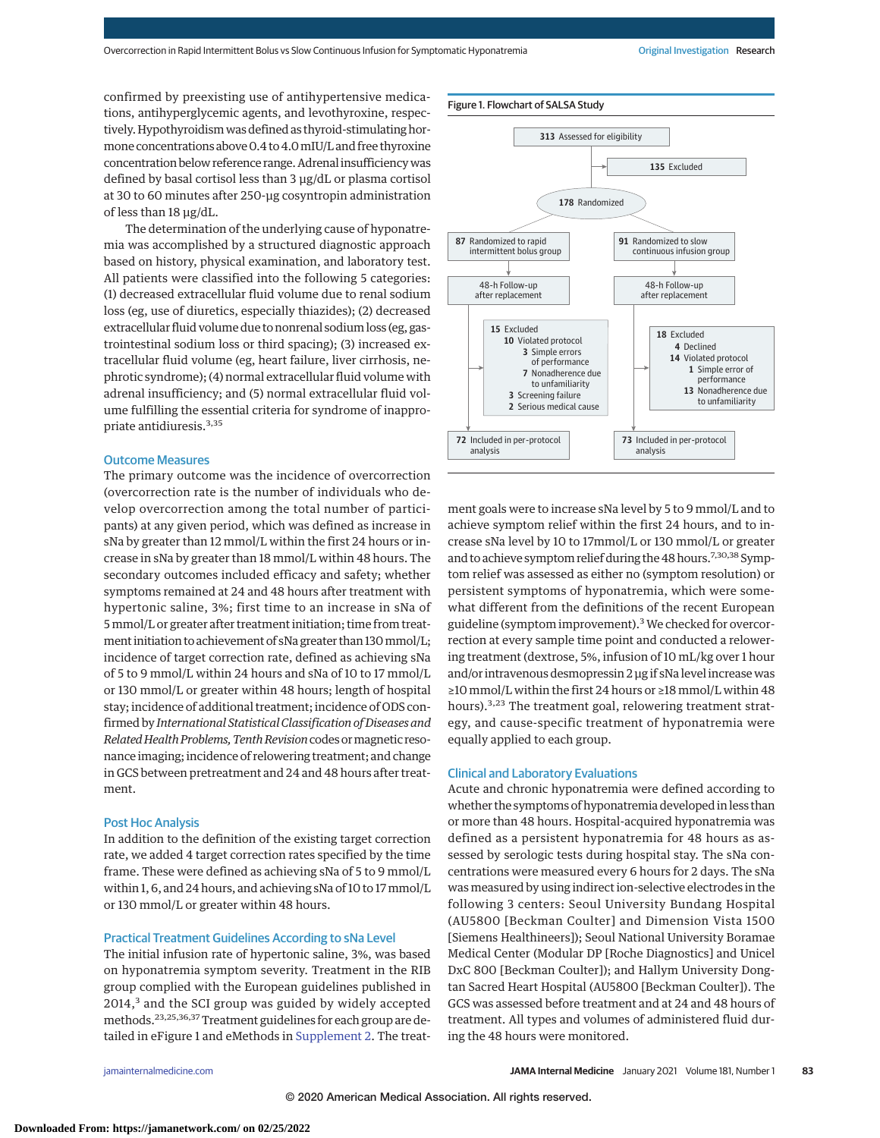confirmed by preexisting use of antihypertensive medications, antihyperglycemic agents, and levothyroxine, respectively. Hypothyroidismwas defined as thyroid-stimulating hormone concentrations above 0.4 to 4.0mIU/L and free thyroxine concentration below reference range. Adrenal insufficiencywas defined by basal cortisol less than 3 μg/dL or plasma cortisol at 30 to 60 minutes after 250-μg cosyntropin administration of less than 18 μg/dL.

The determination of the underlying cause of hyponatremia was accomplished by a structured diagnostic approach based on history, physical examination, and laboratory test. All patients were classified into the following 5 categories: (1) decreased extracellular fluid volume due to renal sodium loss (eg, use of diuretics, especially thiazides); (2) decreased extracellular fluid volume due to nonrenal sodium loss (eg, gastrointestinal sodium loss or third spacing); (3) increased extracellular fluid volume (eg, heart failure, liver cirrhosis, nephrotic syndrome); (4) normal extracellular fluid volume with adrenal insufficiency; and (5) normal extracellular fluid volume fulfilling the essential criteria for syndrome of inappropriate antidiuresis.<sup>3,35</sup>

## Outcome Measures

The primary outcome was the incidence of overcorrection (overcorrection rate is the number of individuals who develop overcorrection among the total number of participants) at any given period, which was defined as increase in sNa by greater than 12 mmol/L within the first 24 hours or increase in sNa by greater than 18 mmol/L within 48 hours. The secondary outcomes included efficacy and safety; whether symptoms remained at 24 and 48 hours after treatment with hypertonic saline, 3%; first time to an increase in sNa of 5 mmol/L or greater after treatment initiation; time from treatment initiation to achievement of sNa greater than 130mmol/L; incidence of target correction rate, defined as achieving sNa of 5 to 9 mmol/L within 24 hours and sNa of 10 to 17 mmol/L or 130 mmol/L or greater within 48 hours; length of hospital stay; incidence of additional treatment; incidence of ODS confirmed by *International Statistical Classification of Diseases and Related Health Problems, TenthRevision*codes ormagnetic resonance imaging; incidence of relowering treatment; and change in GCS between pretreatment and 24 and 48 hours after treatment.

#### Post Hoc Analysis

In addition to the definition of the existing target correction rate, we added 4 target correction rates specified by the time frame. These were defined as achieving sNa of 5 to 9 mmol/L within 1, 6, and 24 hours, and achieving sNa of 10 to 17 mmol/L or 130 mmol/L or greater within 48 hours.

# Practical Treatment Guidelines According to sNa Level

The initial infusion rate of hypertonic saline, 3%, was based on hyponatremia symptom severity. Treatment in the RIB group complied with the European guidelines published in 2014,<sup>3</sup> and the SCI group was guided by widely accepted methods.<sup>23,25,36,37</sup>Treatment guidelines for each group are detailed in eFigure 1 and eMethods in [Supplement 2.](https://jamanetwork.com/journals/jama/fullarticle/10.1001/jamainternmed.2020.5519?utm_campaign=articlePDF%26utm_medium=articlePDFlink%26utm_source=articlePDF%26utm_content=jamainternmed.2020.5519) The treat-



ment goals were to increase sNa level by 5 to 9 mmol/L and to achieve symptom relief within the first 24 hours, and to increase sNa level by 10 to 17mmol/L or 130 mmol/L or greater and to achieve symptom relief during the 48 hours.<sup>7,30,38</sup> Symptom relief was assessed as either no (symptom resolution) or persistent symptoms of hyponatremia, which were somewhat different from the definitions of the recent European guideline (symptom improvement).<sup>3</sup> We checked for overcorrection at every sample time point and conducted a relowering treatment (dextrose, 5%, infusion of 10 mL/kg over 1 hour and/or intravenous desmopressin 2 μg if sNa level increase was ≥10 mmol/L within the first 24 hours or ≥18 mmol/L within 48 hours).<sup>3,23</sup> The treatment goal, relowering treatment strategy, and cause-specific treatment of hyponatremia were equally applied to each group.

#### Clinical and Laboratory Evaluations

Acute and chronic hyponatremia were defined according to whether the symptoms of hyponatremia developed in less than or more than 48 hours. Hospital-acquired hyponatremia was defined as a persistent hyponatremia for 48 hours as assessed by serologic tests during hospital stay. The sNa concentrations were measured every 6 hours for 2 days. The sNa was measured by using indirect ion-selective electrodes in the following 3 centers: Seoul University Bundang Hospital (AU5800 [Beckman Coulter] and Dimension Vista 1500 [Siemens Healthineers]); Seoul National University Boramae Medical Center (Modular DP [Roche Diagnostics] and Unicel DxC 800 [Beckman Coulter]); and Hallym University Dongtan Sacred Heart Hospital (AU5800 [Beckman Coulter]). The GCS was assessed before treatment and at 24 and 48 hours of treatment. All types and volumes of administered fluid during the 48 hours were monitored.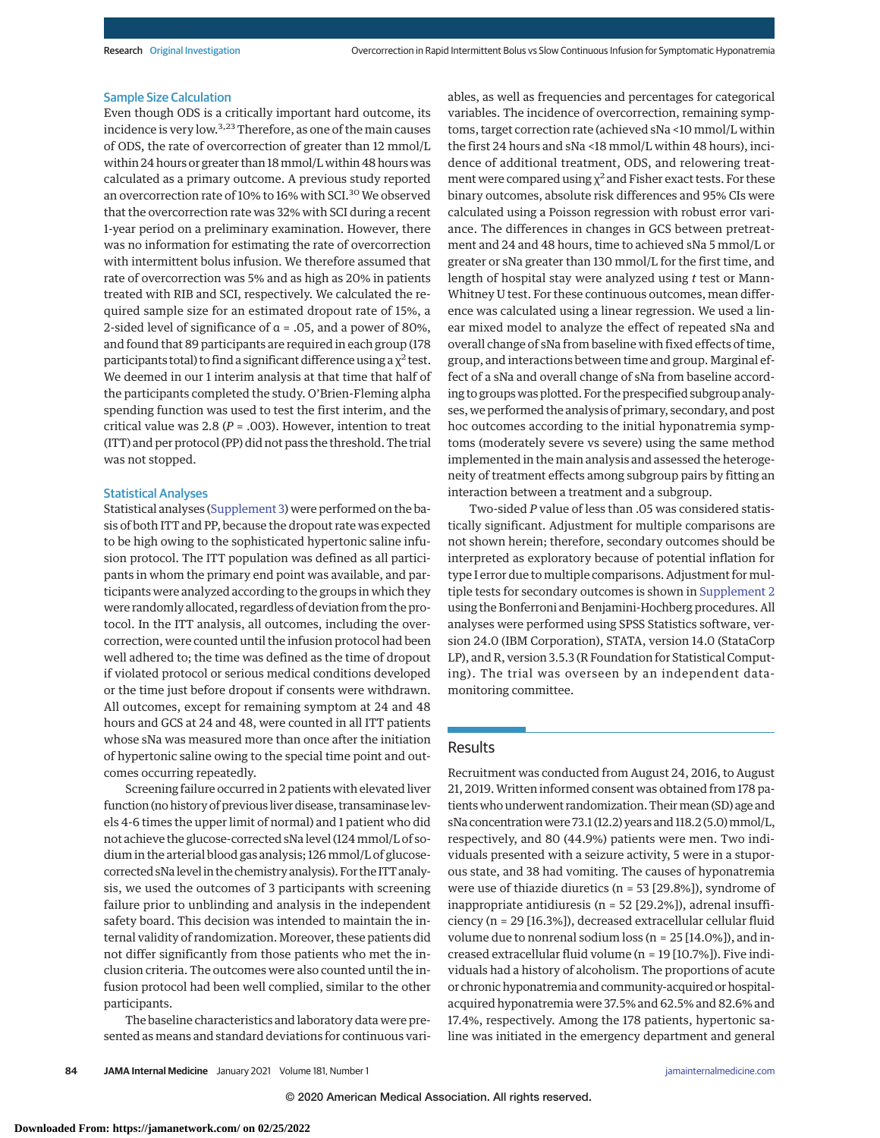#### Sample Size Calculation

Even though ODS is a critically important hard outcome, its incidence is very low.<sup>3,23</sup> Therefore, as one of the main causes of ODS, the rate of overcorrection of greater than 12 mmol/L within 24 hours or greater than 18mmol/L within 48 hours was calculated as a primary outcome. A previous study reported an overcorrection rate of 10% to 16% with SCI.<sup>30</sup> We observed that the overcorrection rate was 32% with SCI during a recent 1-year period on a preliminary examination. However, there was no information for estimating the rate of overcorrection with intermittent bolus infusion. We therefore assumed that rate of overcorrection was 5% and as high as 20% in patients treated with RIB and SCI, respectively. We calculated the required sample size for an estimated dropout rate of 15%, a 2-sided level of significance of  $\alpha$  = .05, and a power of 80%, and found that 89 participants are required in each group (178 participants total) to find a significant difference using a  $\chi^2$  test. We deemed in our 1 interim analysis at that time that half of the participants completed the study. O'Brien-Fleming alpha spending function was used to test the first interim, and the critical value was 2.8 (*P* = .003). However, intention to treat (ITT) and per protocol (PP) did not pass the threshold. The trial was not stopped.

#### Statistical Analyses

Statistical analyses [\(Supplement 3\)](https://jamanetwork.com/journals/jama/fullarticle/10.1001/jamainternmed.2020.5519?utm_campaign=articlePDF%26utm_medium=articlePDFlink%26utm_source=articlePDF%26utm_content=jamainternmed.2020.5519) were performed on the basis of both ITT and PP, because the dropout rate was expected to be high owing to the sophisticated hypertonic saline infusion protocol. The ITT population was defined as all participants in whom the primary end point was available, and participants were analyzed according to the groups in which they were randomly allocated, regardless of deviation from the protocol. In the ITT analysis, all outcomes, including the overcorrection, were counted until the infusion protocol had been well adhered to; the time was defined as the time of dropout if violated protocol or serious medical conditions developed or the time just before dropout if consents were withdrawn. All outcomes, except for remaining symptom at 24 and 48 hours and GCS at 24 and 48, were counted in all ITT patients whose sNa was measured more than once after the initiation of hypertonic saline owing to the special time point and outcomes occurring repeatedly.

Screening failure occurred in 2 patients with elevated liver function (no history of previous liver disease, transaminase levels 4-6 times the upper limit of normal) and 1 patient who did not achieve the glucose-corrected sNa level (124mmol/L of sodium in the arterial blood gas analysis; 126 mmol/L of glucosecorrected sNa level in the chemistry analysis). For the ITT analysis, we used the outcomes of 3 participants with screening failure prior to unblinding and analysis in the independent safety board. This decision was intended to maintain the internal validity of randomization. Moreover, these patients did not differ significantly from those patients who met the inclusion criteria. The outcomes were also counted until the infusion protocol had been well complied, similar to the other participants.

The baseline characteristics and laboratory data were presented as means and standard deviations for continuous variables, as well as frequencies and percentages for categorical variables. The incidence of overcorrection, remaining symptoms, target correction rate (achieved sNa <10 mmol/L within the first 24 hours and sNa <18 mmol/L within 48 hours), incidence of additional treatment, ODS, and relowering treatment were compared using  $\chi^2$  and Fisher exact tests. For these binary outcomes, absolute risk differences and 95% CIs were calculated using a Poisson regression with robust error variance. The differences in changes in GCS between pretreatment and 24 and 48 hours, time to achieved sNa 5 mmol/L or greater or sNa greater than 130 mmol/L for the first time, and length of hospital stay were analyzed using *t* test or Mann-Whitney U test. For these continuous outcomes, mean difference was calculated using a linear regression. We used a linear mixed model to analyze the effect of repeated sNa and overall change of sNa from baseline with fixed effects of time, group, and interactions between time and group. Marginal effect of a sNa and overall change of sNa from baseline according to groups was plotted. For the prespecified subgroup analyses, we performed the analysis of primary, secondary, and post hoc outcomes according to the initial hyponatremia symptoms (moderately severe vs severe) using the same method implemented in the main analysis and assessed the heterogeneity of treatment effects among subgroup pairs by fitting an interaction between a treatment and a subgroup.

Two-sided *P* value of less than .05 was considered statistically significant. Adjustment for multiple comparisons are not shown herein; therefore, secondary outcomes should be interpreted as exploratory because of potential inflation for type I error due to multiple comparisons. Adjustment for multiple tests for secondary outcomes is shown in [Supplement 2](https://jamanetwork.com/journals/jama/fullarticle/10.1001/jamainternmed.2020.5519?utm_campaign=articlePDF%26utm_medium=articlePDFlink%26utm_source=articlePDF%26utm_content=jamainternmed.2020.5519) using the Bonferroni and Benjamini-Hochberg procedures. All analyses were performed using SPSS Statistics software, version 24.0 (IBM Corporation), STATA, version 14.0 (StataCorp LP), and R, version 3.5.3 (R Foundation for Statistical Computing). The trial was overseen by an independent datamonitoring committee.

# Results

Recruitment was conducted from August 24, 2016, to August 21, 2019.Written informed consent was obtained from 178 patients who underwent randomization. Their mean (SD) age and sNa concentration were 73.1 (12.2) years and 118.2 (5.0) mmol/L, respectively, and 80 (44.9%) patients were men. Two individuals presented with a seizure activity, 5 were in a stuporous state, and 38 had vomiting. The causes of hyponatremia were use of thiazide diuretics (n = 53 [29.8%]), syndrome of inappropriate antidiuresis (n = 52 [29.2%]), adrenal insufficiency (n = 29 [16.3%]), decreased extracellular cellular fluid volume due to nonrenal sodium loss (n = 25 [14.0%]), and increased extracellular fluid volume (n = 19 [10.7%]). Five individuals had a history of alcoholism. The proportions of acute or chronic hyponatremia and community-acquired or hospitalacquired hyponatremia were 37.5% and 62.5% and 82.6% and 17.4%, respectively. Among the 178 patients, hypertonic saline was initiated in the emergency department and general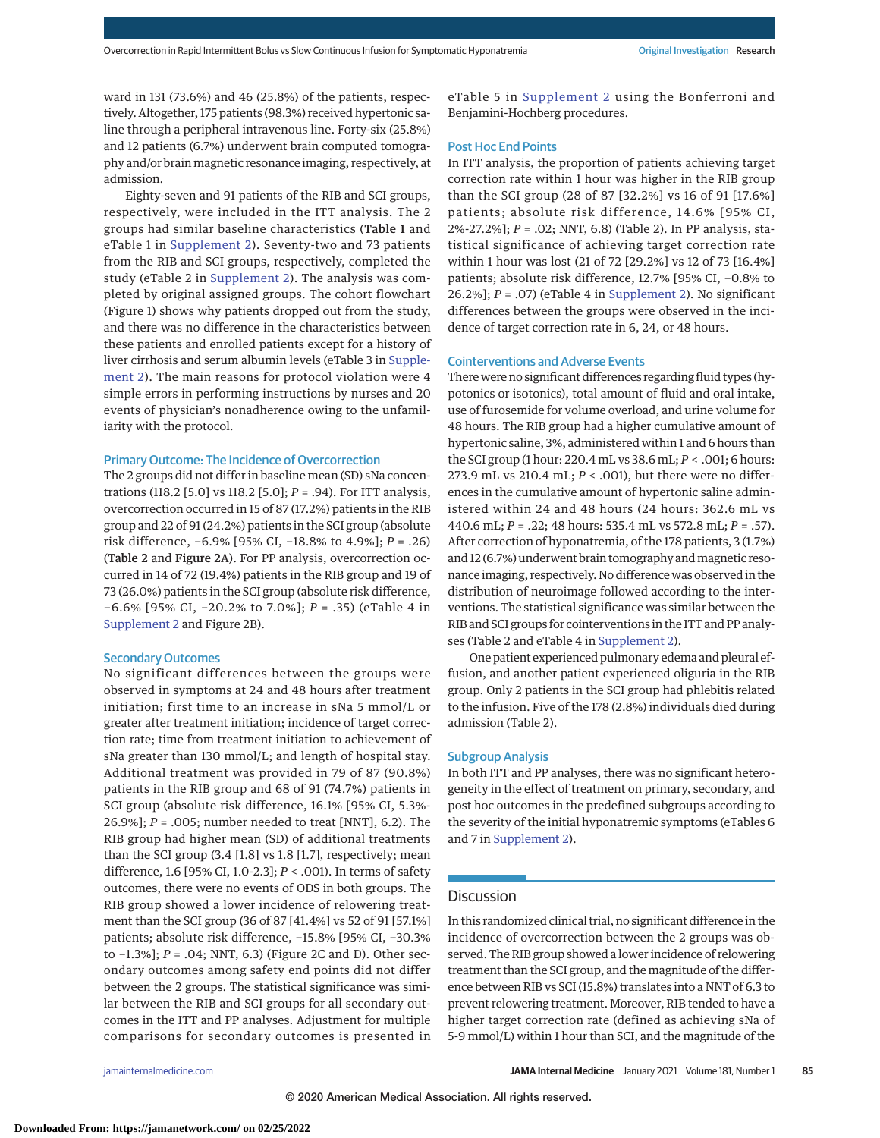ward in 131 (73.6%) and 46 (25.8%) of the patients, respectively. Altogether, 175 patients (98.3%) received hypertonic saline through a peripheral intravenous line. Forty-six (25.8%) and 12 patients (6.7%) underwent brain computed tomography and/or brain magnetic resonance imaging, respectively, at admission.

Eighty-seven and 91 patients of the RIB and SCI groups, respectively, were included in the ITT analysis. The 2 groups had similar baseline characteristics (Table 1 and eTable 1 in [Supplement 2\)](https://jamanetwork.com/journals/jama/fullarticle/10.1001/jamainternmed.2020.5519?utm_campaign=articlePDF%26utm_medium=articlePDFlink%26utm_source=articlePDF%26utm_content=jamainternmed.2020.5519). Seventy-two and 73 patients from the RIB and SCI groups, respectively, completed the study (eTable 2 in [Supplement 2\)](https://jamanetwork.com/journals/jama/fullarticle/10.1001/jamainternmed.2020.5519?utm_campaign=articlePDF%26utm_medium=articlePDFlink%26utm_source=articlePDF%26utm_content=jamainternmed.2020.5519). The analysis was completed by original assigned groups. The cohort flowchart (Figure 1) shows why patients dropped out from the study, and there was no difference in the characteristics between these patients and enrolled patients except for a history of liver cirrhosis and serum albumin levels (eTable 3 in [Supple](https://jamanetwork.com/journals/jama/fullarticle/10.1001/jamainternmed.2020.5519?utm_campaign=articlePDF%26utm_medium=articlePDFlink%26utm_source=articlePDF%26utm_content=jamainternmed.2020.5519)[ment 2\)](https://jamanetwork.com/journals/jama/fullarticle/10.1001/jamainternmed.2020.5519?utm_campaign=articlePDF%26utm_medium=articlePDFlink%26utm_source=articlePDF%26utm_content=jamainternmed.2020.5519). The main reasons for protocol violation were 4 simple errors in performing instructions by nurses and 20 events of physician's nonadherence owing to the unfamiliarity with the protocol.

#### Primary Outcome: The Incidence of Overcorrection

The 2 groups did not differ in baseline mean (SD) sNa concentrations (118.2 [5.0] vs 118.2 [5.0]; *P* = .94). For ITT analysis, overcorrection occurred in 15 of 87 (17.2%) patients in the RIB group and 22 of 91 (24.2%) patients in the SCI group (absolute risk difference, −6.9% [95% CI, −18.8% to 4.9%]; *P* = .26) (Table 2 and Figure 2A). For PP analysis, overcorrection occurred in 14 of 72 (19.4%) patients in the RIB group and 19 of 73 (26.0%) patients in the SCI group (absolute risk difference, −6.6% [95% CI, −20.2% to 7.0%]; *P* = .35) (eTable 4 in [Supplement 2](https://jamanetwork.com/journals/jama/fullarticle/10.1001/jamainternmed.2020.5519?utm_campaign=articlePDF%26utm_medium=articlePDFlink%26utm_source=articlePDF%26utm_content=jamainternmed.2020.5519) and Figure 2B).

#### Secondary Outcomes

No significant differences between the groups were observed in symptoms at 24 and 48 hours after treatment initiation; first time to an increase in sNa 5 mmol/L or greater after treatment initiation; incidence of target correction rate; time from treatment initiation to achievement of sNa greater than 130 mmol/L; and length of hospital stay. Additional treatment was provided in 79 of 87 (90.8%) patients in the RIB group and 68 of 91 (74.7%) patients in SCI group (absolute risk difference, 16.1% [95% CI, 5.3%- 26.9%]; *P* = .005; number needed to treat [NNT], 6.2). The RIB group had higher mean (SD) of additional treatments than the SCI group (3.4 [1.8] vs 1.8 [1.7], respectively; mean difference, 1.6 [95% CI, 1.0-2.3]; *P* < .001). In terms of safety outcomes, there were no events of ODS in both groups. The RIB group showed a lower incidence of relowering treatment than the SCI group (36 of 87 [41.4%] vs 52 of 91 [57.1%] patients; absolute risk difference, −15.8% [95% CI, −30.3% to −1.3%]; *P* = .04; NNT, 6.3) (Figure 2C and D). Other secondary outcomes among safety end points did not differ between the 2 groups. The statistical significance was similar between the RIB and SCI groups for all secondary outcomes in the ITT and PP analyses. Adjustment for multiple comparisons for secondary outcomes is presented in

eTable 5 in [Supplement 2](https://jamanetwork.com/journals/jama/fullarticle/10.1001/jamainternmed.2020.5519?utm_campaign=articlePDF%26utm_medium=articlePDFlink%26utm_source=articlePDF%26utm_content=jamainternmed.2020.5519) using the Bonferroni and Benjamini-Hochberg procedures.

#### Post Hoc End Points

In ITT analysis, the proportion of patients achieving target correction rate within 1 hour was higher in the RIB group than the SCI group (28 of 87 [32.2%] vs 16 of 91 [17.6%] patients; absolute risk difference, 14.6% [95% CI, 2%-27.2%]; *P* = .02; NNT, 6.8) (Table 2). In PP analysis, statistical significance of achieving target correction rate within 1 hour was lost (21 of 72 [29.2%] vs 12 of 73 [16.4%] patients; absolute risk difference, 12.7% [95% CI, −0.8% to 26.2%]; *P* = .07) (eTable 4 in [Supplement 2\)](https://jamanetwork.com/journals/jama/fullarticle/10.1001/jamainternmed.2020.5519?utm_campaign=articlePDF%26utm_medium=articlePDFlink%26utm_source=articlePDF%26utm_content=jamainternmed.2020.5519). No significant differences between the groups were observed in the incidence of target correction rate in 6, 24, or 48 hours.

# Cointerventions and Adverse Events

There were no significant differences regarding fluid types (hypotonics or isotonics), total amount of fluid and oral intake, use of furosemide for volume overload, and urine volume for 48 hours. The RIB group had a higher cumulative amount of hypertonic saline, 3%, administered within 1 and 6 hours than the SCI group (1 hour: 220.4 mL vs 38.6 mL; *P* < .001; 6 hours: 273.9 mL vs 210.4 mL; *P* < .001), but there were no differences in the cumulative amount of hypertonic saline administered within 24 and 48 hours (24 hours: 362.6 mL vs 440.6 mL; *P* = .22; 48 hours: 535.4 mL vs 572.8 mL; *P* = .57). After correction of hyponatremia, of the 178 patients, 3 (1.7%) and 12 (6.7%) underwent brain tomography and magnetic resonance imaging, respectively. No difference was observed in the distribution of neuroimage followed according to the interventions. The statistical significance was similar between the RIB and SCI groups for cointerventions in the ITT and PP analyses (Table 2 and eTable 4 in [Supplement 2\)](https://jamanetwork.com/journals/jama/fullarticle/10.1001/jamainternmed.2020.5519?utm_campaign=articlePDF%26utm_medium=articlePDFlink%26utm_source=articlePDF%26utm_content=jamainternmed.2020.5519).

One patient experienced pulmonary edema and pleural effusion, and another patient experienced oliguria in the RIB group. Only 2 patients in the SCI group had phlebitis related to the infusion. Five of the 178 (2.8%) individuals died during admission (Table 2).

#### Subgroup Analysis

In both ITT and PP analyses, there was no significant heterogeneity in the effect of treatment on primary, secondary, and post hoc outcomes in the predefined subgroups according to the severity of the initial hyponatremic symptoms (eTables 6 and 7 in [Supplement 2\)](https://jamanetwork.com/journals/jama/fullarticle/10.1001/jamainternmed.2020.5519?utm_campaign=articlePDF%26utm_medium=articlePDFlink%26utm_source=articlePDF%26utm_content=jamainternmed.2020.5519).

#### **Discussion**

In this randomized clinical trial, no significant difference in the incidence of overcorrection between the 2 groups was observed. The RIB group showed a lower incidence of relowering treatment than the SCI group, and the magnitude of the difference between RIB vs SCI (15.8%) translates into a NNT of 6.3 to prevent relowering treatment. Moreover, RIB tended to have a higher target correction rate (defined as achieving sNa of 5-9 mmol/L) within 1 hour than SCI, and the magnitude of the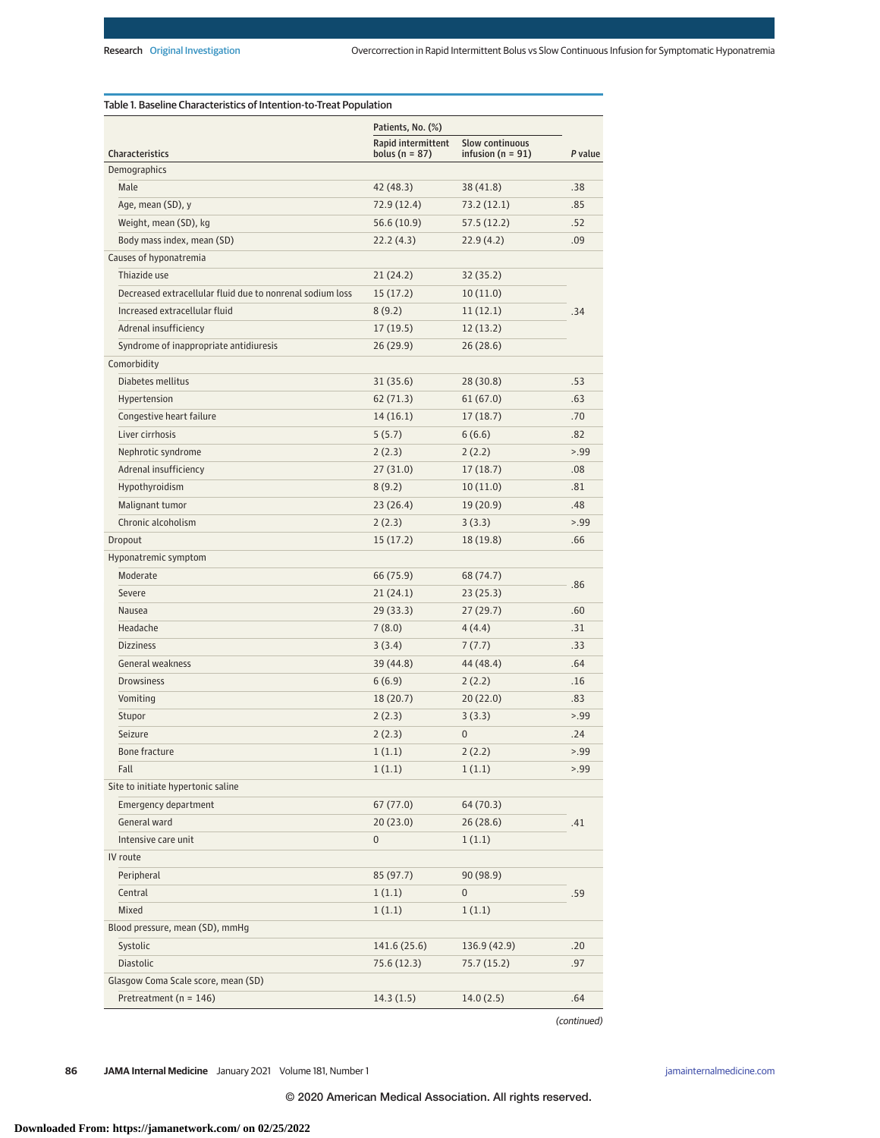| <b>Characteristics</b>                                    | Patients, No. (%)<br>Rapid intermittent<br>bolus ( $n = 87$ ) | <b>Slow continuous</b><br>infusion ( $n = 91$ ) | P value |
|-----------------------------------------------------------|---------------------------------------------------------------|-------------------------------------------------|---------|
| Demographics                                              |                                                               |                                                 |         |
| Male                                                      | 42 (48.3)                                                     | 38(41.8)                                        | .38     |
| Age, mean (SD), y                                         | 72.9 (12.4)                                                   | 73.2 (12.1)                                     | .85     |
| Weight, mean (SD), kg                                     | 56.6 (10.9)                                                   | 57.5(12.2)                                      | .52     |
| Body mass index, mean (SD)                                | 22.2(4.3)                                                     | 22.9(4.2)                                       | .09     |
| Causes of hyponatremia                                    |                                                               |                                                 |         |
| Thiazide use                                              | 21(24.2)                                                      | 32(35.2)                                        |         |
| Decreased extracellular fluid due to nonrenal sodium loss | 15(17.2)                                                      | 10(11.0)                                        |         |
| Increased extracellular fluid                             | 8(9.2)                                                        | 11(12.1)                                        | .34     |
| Adrenal insufficiency                                     | 17(19.5)                                                      | 12(13.2)                                        |         |
| Syndrome of inappropriate antidiuresis                    |                                                               |                                                 |         |
| Comorbidity                                               | 26(29.9)                                                      | 26(28.6)                                        |         |
| Diabetes mellitus                                         | 31(35.6)                                                      | 28 (30.8)                                       | .53     |
| Hypertension                                              | 62 (71.3)                                                     | 61(67.0)                                        | .63     |
| Congestive heart failure                                  | 14(16.1)                                                      | 17(18.7)                                        | .70     |
| Liver cirrhosis                                           | 5(5.7)                                                        | 6(6.6)                                          | .82     |
| Nephrotic syndrome                                        | 2(2.3)                                                        | 2(2.2)                                          | > 99    |
| Adrenal insufficiency                                     | 27(31.0)                                                      | 17(18.7)                                        | .08     |
|                                                           |                                                               |                                                 | .81     |
| Hypothyroidism                                            | 8(9.2)                                                        | 10(11.0)                                        | .48     |
| Malignant tumor                                           | 23(26.4)                                                      | 19 (20.9)                                       |         |
| Chronic alcoholism                                        | 2(2.3)                                                        | 3(3.3)                                          | > 0.99  |
| Dropout                                                   | 15(17.2)                                                      | 18 (19.8)                                       | .66     |
| Hyponatremic symptom                                      |                                                               |                                                 |         |
| Moderate                                                  | 66 (75.9)                                                     | 68 (74.7)                                       | .86     |
| Severe                                                    | 21(24.1)                                                      | 23(25.3)                                        |         |
| Nausea                                                    | 29 (33.3)                                                     | 27(29.7)                                        | .60     |
| Headache                                                  | 7(8.0)                                                        | 4(4.4)                                          | .31     |
| <b>Dizziness</b>                                          | 3(3.4)                                                        | 7(7.7)                                          | .33     |
| General weakness                                          | 39 (44.8)                                                     | 44 (48.4)                                       | .64     |
| <b>Drowsiness</b>                                         | 6(6.9)                                                        | 2(2.2)                                          | .16     |
| Vomiting                                                  | 18(20.7)                                                      | 20(22.0)                                        | .83     |
| Stupor                                                    | 2(2.3)                                                        | 3(3.3)                                          | > 0.99  |
| Seizure                                                   | 2(2.3)                                                        | 0                                               | .24     |
| <b>Bone fracture</b>                                      | 1(1.1)                                                        | 2(2.2)                                          | > 99    |
| Fall                                                      | 1(1.1)                                                        | 1(1.1)                                          | > 99    |
| Site to initiate hypertonic saline                        |                                                               |                                                 |         |
| Emergency department                                      | 67(77.0)                                                      | 64 (70.3)                                       |         |
| General ward                                              | 20(23.0)                                                      | 26(28.6)                                        | .41     |
| Intensive care unit                                       | $\overline{0}$                                                | 1(1.1)                                          |         |
| IV route                                                  |                                                               |                                                 |         |
| Peripheral                                                | 85 (97.7)                                                     | 90 (98.9)                                       |         |
| Central                                                   | 1(1.1)                                                        | 0                                               | .59     |
| Mixed                                                     | 1(1.1)                                                        | 1(1.1)                                          |         |
| Blood pressure, mean (SD), mmHq                           |                                                               |                                                 |         |
| Systolic                                                  | 141.6 (25.6)                                                  | 136.9 (42.9)                                    | .20     |
| Diastolic                                                 | 75.6 (12.3)                                                   | 75.7 (15.2)                                     | .97     |
| Glasgow Coma Scale score, mean (SD)                       |                                                               |                                                 |         |
| Pretreatment ( $n = 146$ )                                | 14.3(1.5)                                                     | 14.0(2.5)                                       | .64     |

(continued)

**86 JAMA Internal Medicine** January 2021 Volume 181, Number 1 **(Reprinted)** [jamainternalmedicine.com](http://www.jamainternalmedicine.com?utm_campaign=articlePDF%26utm_medium=articlePDFlink%26utm_source=articlePDF%26utm_content=jamainternmed.2020.5519)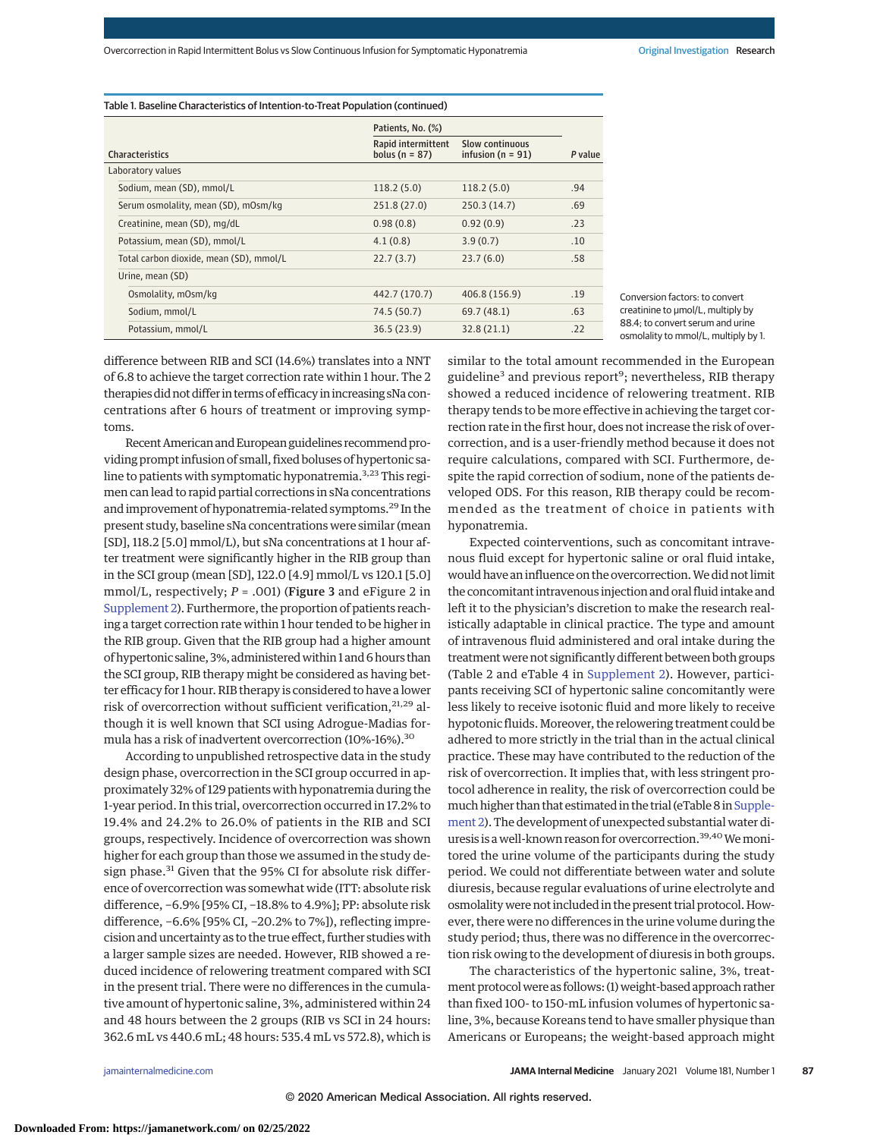|                                         | Patients, No. (%)                        |                                          |         |
|-----------------------------------------|------------------------------------------|------------------------------------------|---------|
| <b>Characteristics</b>                  | Rapid intermittent<br>bolus ( $n = 87$ ) | Slow continuous<br>infusion ( $n = 91$ ) | P value |
| Laboratory values                       |                                          |                                          |         |
| Sodium, mean (SD), mmol/L               | 118.2(5.0)                               | 118.2(5.0)                               | .94     |
| Serum osmolality, mean (SD), mOsm/kg    | 251.8 (27.0)                             | 250.3(14.7)                              | .69     |
| Creatinine, mean (SD), mg/dL            | 0.98(0.8)                                | 0.92(0.9)                                | .23     |
| Potassium, mean (SD), mmol/L            | 4.1(0.8)                                 | 3.9(0.7)                                 | .10     |
| Total carbon dioxide, mean (SD), mmol/L | 22.7(3.7)                                | 23.7(6.0)                                | .58     |
| Urine, mean (SD)                        |                                          |                                          |         |
| Osmolality, mOsm/kg                     | 442.7 (170.7)                            | 406.8 (156.9)                            | .19     |
| Sodium, mmol/L                          | 74.5 (50.7)                              | 69.7(48.1)                               | .63     |
| Potassium, mmol/L                       | 36.5(23.9)                               | 32.8(21.1)                               | .22     |

#### Table 1. Baseline Characteristics of Intention-to-Treat Population (continued)

Conversion factors: to convert creatinine to μmol/L, multiply by 88.4; to convert serum and urine osmolality to mmol/L, multiply by 1.

difference between RIB and SCI (14.6%) translates into a NNT of 6.8 to achieve the target correction rate within 1 hour. The 2 therapies did not differ in terms of efficacy in increasing sNa concentrations after 6 hours of treatment or improving symptoms.

Recent American and European guidelines recommend providing prompt infusion of small, fixed boluses of hypertonic saline to patients with symptomatic hyponatremia.<sup>3,23</sup>This regimen can lead to rapid partial corrections in sNa concentrations and improvement of hyponatremia-related symptoms.29 In the present study, baseline sNa concentrations were similar (mean [SD], 118.2 [5.0] mmol/L), but sNa concentrations at 1 hour after treatment were significantly higher in the RIB group than in the SCI group (mean [SD], 122.0 [4.9] mmol/L vs 120.1 [5.0] mmol/L, respectively; *P* = .001) (Figure 3 and eFigure 2 in [Supplement 2\)](https://jamanetwork.com/journals/jama/fullarticle/10.1001/jamainternmed.2020.5519?utm_campaign=articlePDF%26utm_medium=articlePDFlink%26utm_source=articlePDF%26utm_content=jamainternmed.2020.5519). Furthermore, the proportion of patients reaching a target correction rate within 1 hour tended to be higher in the RIB group. Given that the RIB group had a higher amount of hypertonic saline, 3%, administeredwithin 1 and 6 hours than the SCI group, RIB therapy might be considered as having better efficacy for 1 hour. RIB therapy is considered to have a lower risk of overcorrection without sufficient verification,<sup>21,29</sup> although it is well known that SCI using Adrogue-Madias formula has a risk of inadvertent overcorrection (10%-16%).30

According to unpublished retrospective data in the study design phase, overcorrection in the SCI group occurred in approximately 32% of 129 patients with hyponatremia during the 1-year period. In this trial, overcorrection occurred in 17.2% to 19.4% and 24.2% to 26.0% of patients in the RIB and SCI groups, respectively. Incidence of overcorrection was shown higher for each group than those we assumed in the study design phase.<sup>31</sup> Given that the 95% CI for absolute risk difference of overcorrection was somewhat wide (ITT: absolute risk difference, −6.9% [95% CI, −18.8% to 4.9%]; PP: absolute risk difference, −6.6% [95% CI, −20.2% to 7%]), reflecting imprecision and uncertainty as to the true effect, further studies with a larger sample sizes are needed. However, RIB showed a reduced incidence of relowering treatment compared with SCI in the present trial. There were no differences in the cumulative amount of hypertonic saline, 3%, administered within 24 and 48 hours between the 2 groups (RIB vs SCI in 24 hours: 362.6 mL vs 440.6 mL; 48 hours: 535.4 mL vs 572.8), which is

similar to the total amount recommended in the European guideline<sup>3</sup> and previous report<sup>9</sup>; nevertheless, RIB therapy showed a reduced incidence of relowering treatment. RIB therapy tends to be more effective in achieving the target correction rate in the first hour, does not increase the risk of overcorrection, and is a user-friendly method because it does not require calculations, compared with SCI. Furthermore, despite the rapid correction of sodium, none of the patients developed ODS. For this reason, RIB therapy could be recommended as the treatment of choice in patients with hyponatremia.

Expected cointerventions, such as concomitant intravenous fluid except for hypertonic saline or oral fluid intake, would have an influence on the overcorrection.We did not limit the concomitant intravenous injection and oral fluid intake and left it to the physician's discretion to make the research realistically adaptable in clinical practice. The type and amount of intravenous fluid administered and oral intake during the treatment were not significantly different between both groups (Table 2 and eTable 4 in [Supplement 2\)](https://jamanetwork.com/journals/jama/fullarticle/10.1001/jamainternmed.2020.5519?utm_campaign=articlePDF%26utm_medium=articlePDFlink%26utm_source=articlePDF%26utm_content=jamainternmed.2020.5519). However, participants receiving SCI of hypertonic saline concomitantly were less likely to receive isotonic fluid and more likely to receive hypotonic fluids. Moreover, the relowering treatment could be adhered to more strictly in the trial than in the actual clinical practice. These may have contributed to the reduction of the risk of overcorrection. It implies that, with less stringent protocol adherence in reality, the risk of overcorrection could be much higher than that estimated in the trial (eTable 8 in [Supple](https://jamanetwork.com/journals/jama/fullarticle/10.1001/jamainternmed.2020.5519?utm_campaign=articlePDF%26utm_medium=articlePDFlink%26utm_source=articlePDF%26utm_content=jamainternmed.2020.5519)[ment 2\)](https://jamanetwork.com/journals/jama/fullarticle/10.1001/jamainternmed.2020.5519?utm_campaign=articlePDF%26utm_medium=articlePDFlink%26utm_source=articlePDF%26utm_content=jamainternmed.2020.5519). The development of unexpected substantial water diuresis is a well-known reason for overcorrection.<sup>39,40</sup> We monitored the urine volume of the participants during the study period. We could not differentiate between water and solute diuresis, because regular evaluations of urine electrolyte and osmolality were not included in the present trial protocol. However, there were no differences in the urine volume during the study period; thus, there was no difference in the overcorrection risk owing to the development of diuresis in both groups.

The characteristics of the hypertonic saline, 3%, treatment protocol were as follows: (1) weight-based approach rather than fixed 100- to 150-mL infusion volumes of hypertonic saline, 3%, because Koreans tend to have smaller physique than Americans or Europeans; the weight-based approach might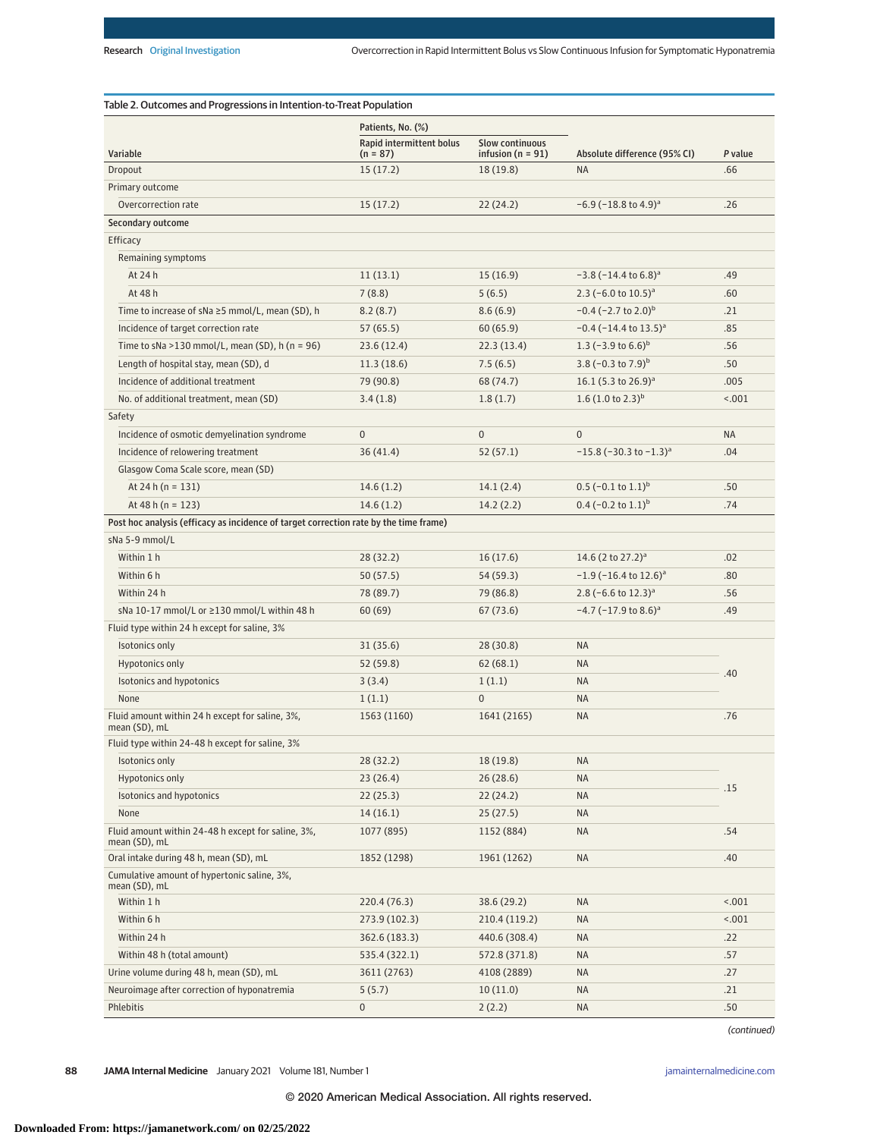|                                                                                       | Patients, No. (%)                      |                                                 |                                       |         |
|---------------------------------------------------------------------------------------|----------------------------------------|-------------------------------------------------|---------------------------------------|---------|
| Variable                                                                              | Rapid intermittent bolus<br>$(n = 87)$ | <b>Slow continuous</b><br>infusion ( $n = 91$ ) | Absolute difference (95% CI)          | P value |
| Dropout                                                                               | 15(17.2)                               | 18(19.8)                                        | <b>NA</b>                             | .66     |
| Primary outcome                                                                       |                                        |                                                 |                                       |         |
| Overcorrection rate                                                                   | 15(17.2)                               | 22(24.2)                                        | $-6.9$ (-18.8 to 4.9) <sup>a</sup>    | .26     |
| Secondary outcome                                                                     |                                        |                                                 |                                       |         |
| Efficacy                                                                              |                                        |                                                 |                                       |         |
| Remaining symptoms                                                                    |                                        |                                                 |                                       |         |
| At 24 h                                                                               | 11(13.1)                               | 15(16.9)                                        | $-3.8$ ( $-14.4$ to 6.8) <sup>a</sup> | .49     |
| At 48 h                                                                               | 7(8.8)                                 | 5(6.5)                                          | 2.3 ( $-6.0$ to $10.5$ ) <sup>a</sup> | .60     |
| Time to increase of sNa ≥5 mmol/L, mean (SD), h                                       | 8.2(8.7)                               | 8.6(6.9)                                        | $-0.4$ (-2.7 to 2.0) <sup>b</sup>     | .21     |
| Incidence of target correction rate                                                   | 57 (65.5)                              | 60(65.9)                                        | $-0.4$ (-14.4 to 13.5) <sup>a</sup>   | .85     |
| Time to sNa >130 mmol/L, mean (SD), h (n = 96)                                        | 23.6 (12.4)                            | 22.3(13.4)                                      | 1.3 $(-3.9 \text{ to } 6.6)^b$        | .56     |
| Length of hospital stay, mean (SD), d                                                 | 11.3(18.6)                             | 7.5(6.5)                                        | 3.8 $(-0.3 \text{ to } 7.9)^b$        | .50     |
| Incidence of additional treatment                                                     | 79 (90.8)                              | 68 (74.7)                                       | 16.1 (5.3 to 26.9) <sup>a</sup>       | .005    |
| No. of additional treatment, mean (SD)                                                | 3.4(1.8)                               | 1.8(1.7)                                        | 1.6 $(1.0 \text{ to } 2.3)^b$         | < .001  |
| Safety                                                                                |                                        |                                                 |                                       |         |
| Incidence of osmotic demyelination syndrome                                           | $\overline{0}$                         | $\boldsymbol{0}$                                | $\mathbf{0}$                          | NA      |
| Incidence of relowering treatment                                                     | 36(41.4)                               | 52(57.1)                                        | $-15.8$ (-30.3 to -1.3) <sup>a</sup>  | .04     |
| Glasgow Coma Scale score, mean (SD)                                                   |                                        |                                                 |                                       |         |
| At $24 h (n = 131)$                                                                   | 14.6(1.2)                              | 14.1(2.4)                                       | $0.5$ (-0.1 to 1.1) <sup>b</sup>      | .50     |
| At 48 h ( $n = 123$ )                                                                 | 14.6(1.2)                              | 14.2(2.2)                                       | 0.4 $(-0.2 \text{ to } 1.1)^b$        | .74     |
| Post hoc analysis (efficacy as incidence of target correction rate by the time frame) |                                        |                                                 |                                       |         |
| sNa 5-9 mmol/L                                                                        |                                        |                                                 |                                       |         |
| Within 1 h                                                                            | 28 (32.2)                              | 16(17.6)                                        | 14.6 (2 to $27.2$ ) <sup>a</sup>      | .02     |
| Within 6 h                                                                            | 50(57.5)                               | 54 (59.3)                                       | $-1.9$ (-16.4 to 12.6) <sup>a</sup>   | .80     |
| Within 24 h                                                                           | 78 (89.7)                              | 79 (86.8)                                       | 2.8 ( $-6.6$ to 12.3) <sup>a</sup>    | .56     |
| sNa 10-17 mmol/L or ≥130 mmol/L within 48 h                                           | 60(69)                                 | 67(73.6)                                        | $-4.7$ ( $-17.9$ to 8.6) <sup>a</sup> | .49     |
| Fluid type within 24 h except for saline, 3%                                          |                                        |                                                 |                                       |         |
| Isotonics only                                                                        | 31(35.6)                               | 28(30.8)                                        | NA                                    |         |
| Hypotonics only                                                                       | 52 (59.8)                              | 62(68.1)                                        | NA                                    |         |
| Isotonics and hypotonics                                                              | 3(3.4)                                 | 1(1.1)                                          | <b>NA</b>                             | .40     |
| None                                                                                  | 1(1.1)                                 | $\boldsymbol{0}$                                | <b>NA</b>                             |         |
| Fluid amount within 24 h except for saline, 3%,                                       | 1563 (1160)                            | 1641 (2165)                                     | NA                                    | .76     |
| mean (SD), mL                                                                         |                                        |                                                 |                                       |         |
| Fluid type within 24-48 h except for saline, 3%                                       |                                        |                                                 |                                       |         |
| Isotonics only                                                                        | 28 (32.2)                              | 18(19.8)                                        | ΝA                                    |         |
| Hypotonics only                                                                       | 23(26.4)                               | 26(28.6)                                        | ΝA                                    | .15     |
| Isotonics and hypotonics                                                              | 22(25.3)                               | 22(24.2)                                        | ΝA                                    |         |
| None                                                                                  | 14(16.1)                               | 25(27.5)                                        | ΝA                                    |         |
| Fluid amount within 24-48 h except for saline, 3%,<br>mean (SD), mL                   | 1077 (895)                             | 1152 (884)                                      | ΝA                                    | .54     |
| Oral intake during 48 h, mean (SD), mL                                                | 1852 (1298)                            | 1961 (1262)                                     | ΝA                                    | .40     |
| Cumulative amount of hypertonic saline, 3%,<br>mean (SD), mL                          |                                        |                                                 |                                       |         |
| Within 1 h                                                                            | 220.4 (76.3)                           | 38.6 (29.2)                                     | ΝA                                    | < .001  |
| Within 6 h                                                                            | 273.9 (102.3)                          | 210.4 (119.2)                                   | ΝA                                    | 1001    |
| Within 24 h                                                                           | 362.6 (183.3)                          | 440.6 (308.4)                                   | ΝA                                    | .22     |
| Within 48 h (total amount)                                                            | 535.4 (322.1)                          | 572.8 (371.8)                                   | ΝA                                    | .57     |
| Urine volume during 48 h, mean (SD), mL                                               | 3611 (2763)                            | 4108 (2889)                                     | ΝA                                    | .27     |
| Neuroimage after correction of hyponatremia                                           | 5(5.7)                                 | 10(11.0)                                        | ΝA                                    | .21     |
| Phlebitis                                                                             | 0                                      | 2(2.2)                                          | ΝA                                    | .50     |

(continued)

**88 JAMA Internal Medicine** January 2021 Volume 181, Number 1 **(Reprinted)** [jamainternalmedicine.com](http://www.jamainternalmedicine.com?utm_campaign=articlePDF%26utm_medium=articlePDFlink%26utm_source=articlePDF%26utm_content=jamainternmed.2020.5519)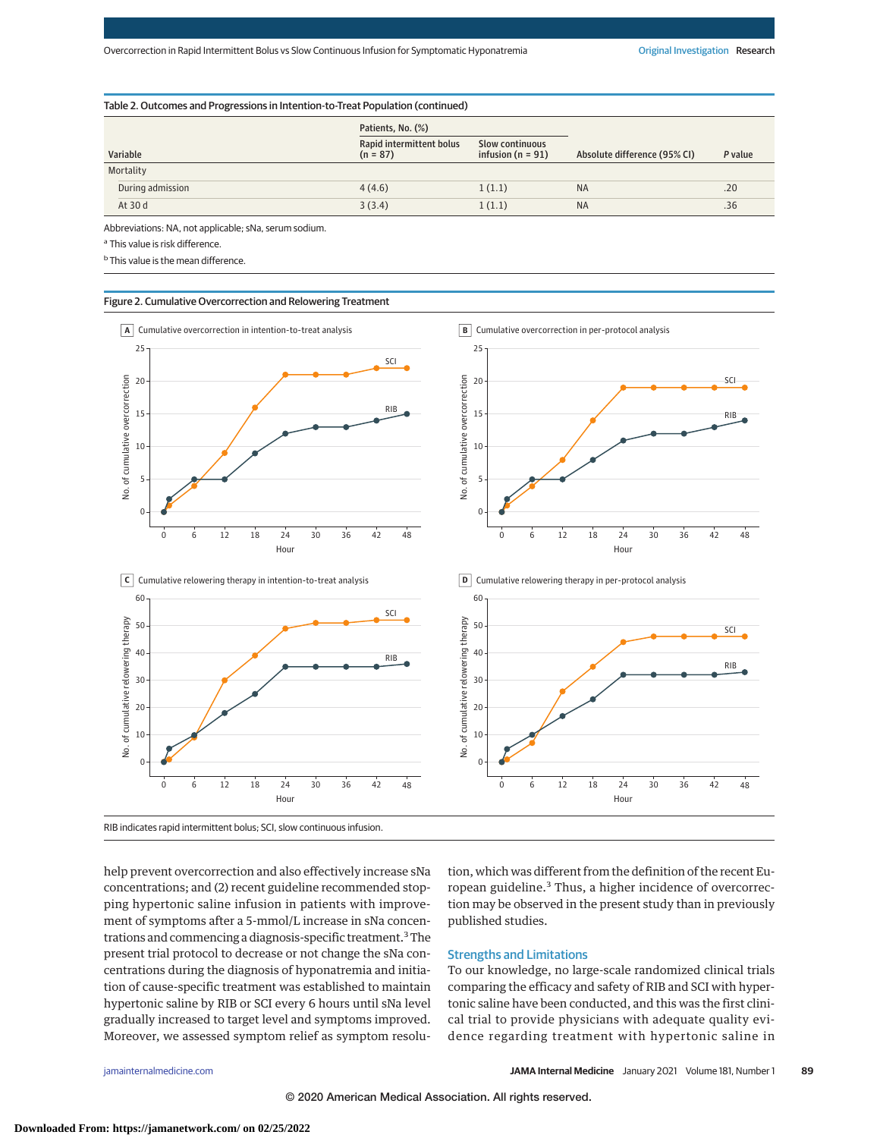#### Table 2. Outcomes and Progressions in Intention-to-Treat Population (continued)

|                  | Patients, No. (%)                      |                                          |                              |         |
|------------------|----------------------------------------|------------------------------------------|------------------------------|---------|
| Variable         | Rapid intermittent bolus<br>$(n = 87)$ | Slow continuous<br>infusion ( $n = 91$ ) | Absolute difference (95% CI) | P value |
| Mortality        |                                        |                                          |                              |         |
| During admission | 4(4.6)                                 | 1(1.1)                                   | <b>NA</b>                    | .20     |
| At 30 d          | 3(3.4)                                 | 1(1.1)                                   | <b>NA</b>                    | .36     |

Abbreviations: NA, not applicable; sNa, serum sodium.

<sup>a</sup> This value is risk difference.

<sup>b</sup> This value is the mean difference.

#### Figure 2. Cumulative Overcorrection and Relowering Treatment



help prevent overcorrection and also effectively increase sNa concentrations; and (2) recent guideline recommended stopping hypertonic saline infusion in patients with improvement of symptoms after a 5-mmol/L increase in sNa concentrations and commencing a diagnosis-specific treatment.<sup>3</sup> The present trial protocol to decrease or not change the sNa concentrations during the diagnosis of hyponatremia and initiation of cause-specific treatment was established to maintain hypertonic saline by RIB or SCI every 6 hours until sNa level gradually increased to target level and symptoms improved. Moreover, we assessed symptom relief as symptom resolution, which was different from the definition of the recent European guideline.<sup>3</sup> Thus, a higher incidence of overcorrection may be observed in the present study than in previously published studies.

#### Strengths and Limitations

To our knowledge, no large-scale randomized clinical trials comparing the efficacy and safety of RIB and SCI with hypertonic saline have been conducted, and this was the first clinical trial to provide physicians with adequate quality evidence regarding treatment with hypertonic saline in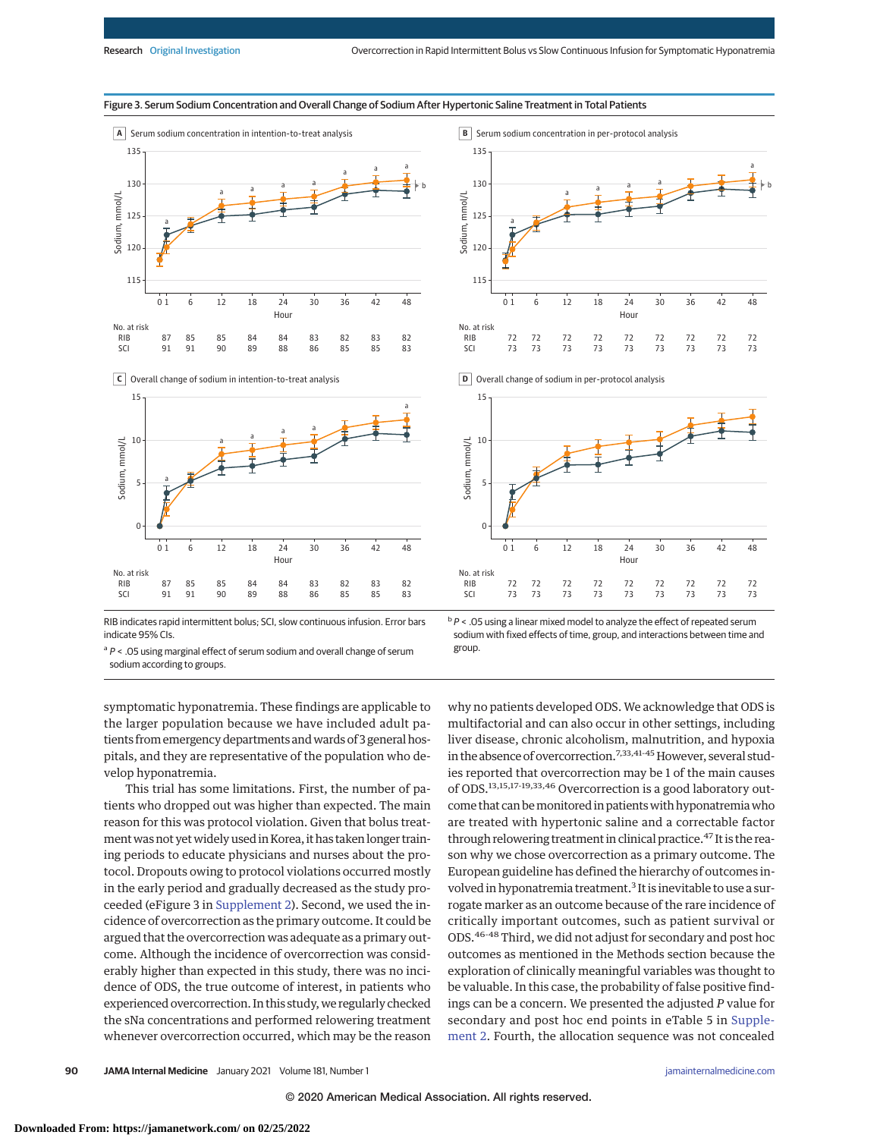**B** Serum sodium concentration in per-protocol analysis

135





15



130 Sodium, mmol/L<br>Sodium, 125 120 115 No. at risk RIB SCI 0 1 6 12 18 24 30 36 42 48 87 85 85 84 84 83 82 83 82 72 72 72 72 72 72 72 72 72 Hour b  $130 +$   $\frac{a}{2} + b$ a a  $\frac{a}{\sqrt{a}}$  a  $\frac{a}{\sqrt{a}}$ a

**D** Overall change of sodium in per-protocol analysis



RIB indicates rapid intermittent bolus; SCI, slow continuous infusion. Error bars indicate 95% CIs.

 $a P < 0.05$  using marginal effect of serum sodium and overall change of serum sodium according to groups.

 $b$  P < .05 using a linear mixed model to analyze the effect of repeated serum sodium with fixed effects of time, group, and interactions between time and group.

symptomatic hyponatremia. These findings are applicable to the larger population because we have included adult patients from emergency departments andwards of 3 general hospitals, and they are representative of the population who develop hyponatremia.

This trial has some limitations. First, the number of patients who dropped out was higher than expected. The main reason for this was protocol violation. Given that bolus treatment was not yet widely used in Korea, it has taken longer training periods to educate physicians and nurses about the protocol. Dropouts owing to protocol violations occurred mostly in the early period and gradually decreased as the study proceeded (eFigure 3 in [Supplement 2\)](https://jamanetwork.com/journals/jama/fullarticle/10.1001/jamainternmed.2020.5519?utm_campaign=articlePDF%26utm_medium=articlePDFlink%26utm_source=articlePDF%26utm_content=jamainternmed.2020.5519). Second, we used the incidence of overcorrection as the primary outcome. It could be argued that the overcorrection was adequate as a primary outcome. Although the incidence of overcorrection was considerably higher than expected in this study, there was no incidence of ODS, the true outcome of interest, in patients who experienced overcorrection. In this study, we regularly checked the sNa concentrations and performed relowering treatment whenever overcorrection occurred, which may be the reason why no patients developed ODS. We acknowledge that ODS is multifactorial and can also occur in other settings, including liver disease, chronic alcoholism, malnutrition, and hypoxia in the absence of overcorrection.<sup>7,33,41-45</sup> However, several studies reported that overcorrection may be 1 of the main causes of ODS.13,15,17-19,33,46 Overcorrection is a good laboratory outcome that can be monitored in patients with hyponatremia who are treated with hypertonic saline and a correctable factor through relowering treatment in clinical practice.<sup>47</sup> It is the reason why we chose overcorrection as a primary outcome. The European guideline has defined the hierarchy of outcomes involved in hyponatremia treatment.<sup>3</sup> It is inevitable to use a surrogate marker as an outcome because of the rare incidence of critically important outcomes, such as patient survival or ODS.46-48 Third, we did not adjust for secondary and post hoc outcomes as mentioned in the Methods section because the exploration of clinically meaningful variables was thought to be valuable. In this case, the probability of false positive findings can be a concern. We presented the adjusted *P* value for secondary and post hoc end points in eTable 5 in [Supple](https://jamanetwork.com/journals/jama/fullarticle/10.1001/jamainternmed.2020.5519?utm_campaign=articlePDF%26utm_medium=articlePDFlink%26utm_source=articlePDF%26utm_content=jamainternmed.2020.5519)[ment 2.](https://jamanetwork.com/journals/jama/fullarticle/10.1001/jamainternmed.2020.5519?utm_campaign=articlePDF%26utm_medium=articlePDFlink%26utm_source=articlePDF%26utm_content=jamainternmed.2020.5519) Fourth, the allocation sequence was not concealed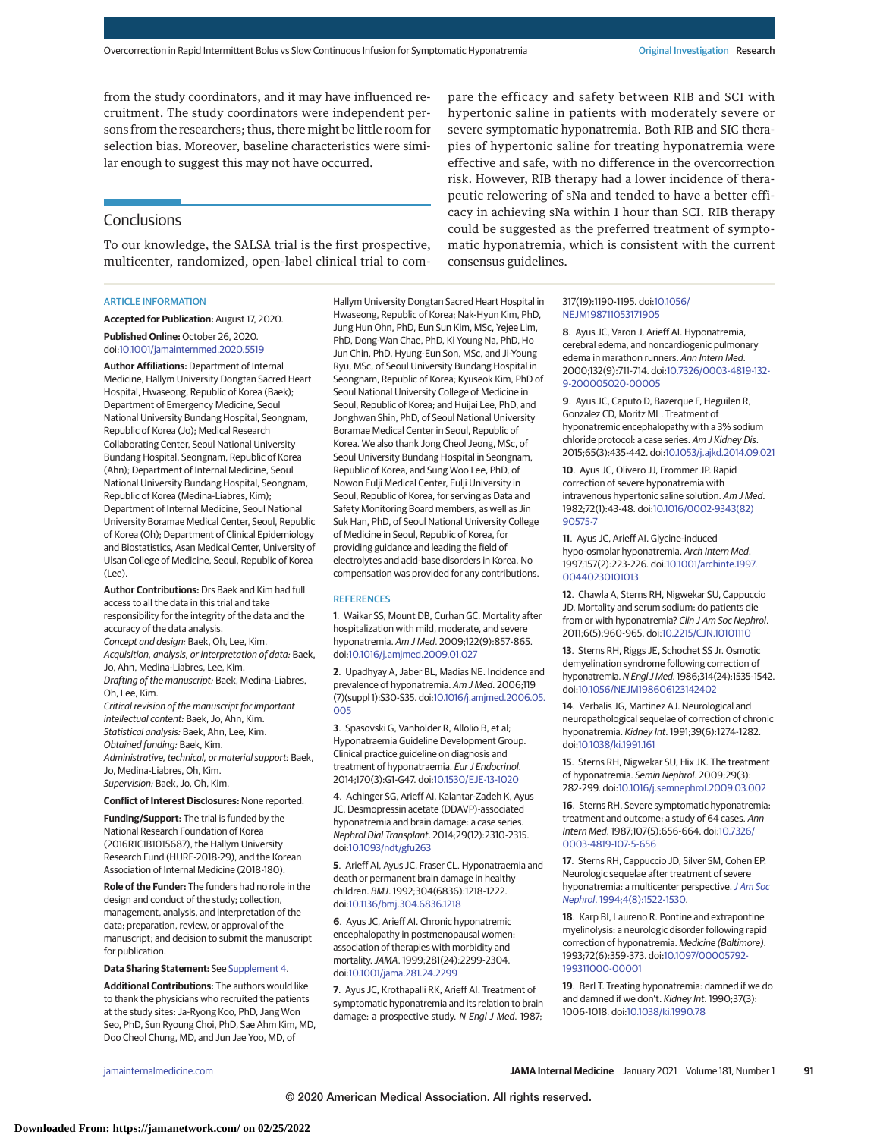from the study coordinators, and it may have influenced recruitment. The study coordinators were independent persons from the researchers; thus, there might be little room for selection bias. Moreover, baseline characteristics were similar enough to suggest this may not have occurred.

# **Conclusions**

To our knowledge, the SALSA trial is the first prospective, multicenter, randomized, open-label clinical trial to com-

#### ARTICLE INFORMATION

**Accepted for Publication:** August 17, 2020.

**Published Online:** October 26, 2020. doi[:10.1001/jamainternmed.2020.5519](https://jamanetwork.com/journals/jama/fullarticle/10.1001/jamainternmed.2020.5519?utm_campaign=articlePDF%26utm_medium=articlePDFlink%26utm_source=articlePDF%26utm_content=jamainternmed.2020.5519)

**Author Affiliations:** Department of Internal Medicine, Hallym University Dongtan Sacred Heart Hospital, Hwaseong, Republic of Korea (Baek); Department of Emergency Medicine, Seoul National University Bundang Hospital, Seongnam, Republic of Korea (Jo); Medical Research Collaborating Center, Seoul National University Bundang Hospital, Seongnam, Republic of Korea (Ahn); Department of Internal Medicine, Seoul National University Bundang Hospital, Seongnam, Republic of Korea (Medina-Liabres, Kim); Department of Internal Medicine, Seoul National University Boramae Medical Center, Seoul, Republic of Korea (Oh); Department of Clinical Epidemiology and Biostatistics, Asan Medical Center, University of Ulsan College of Medicine, Seoul, Republic of Korea (Lee).

**Author Contributions:** Drs Baek and Kim had full access to all the data in this trial and take responsibility for the integrity of the data and the accuracy of the data analysis. Concept and design: Baek, Oh, Lee, Kim. Acquisition, analysis, or interpretation of data: Baek, Jo, Ahn, Medina-Liabres, Lee, Kim. Drafting of the manuscript: Baek, Medina-Liabres, Oh, Lee, Kim. Critical revision of the manuscript for important

intellectual content: Baek, Jo, Ahn, Kim. Statistical analysis: Baek, Ahn, Lee, Kim. Obtained funding: Baek, Kim. Administrative, technical, or material support: Baek, Jo, Medina-Liabres, Oh, Kim. Supervision: Baek, Jo, Oh, Kim.

**Conflict of Interest Disclosures:** None reported.

**Funding/Support:** The trial is funded by the National Research Foundation of Korea (2016R1C1B1015687), the Hallym University Research Fund (HURF-2018-29), and the Korean Association of Internal Medicine (2018-180).

**Role of the Funder:** The funders had no role in the design and conduct of the study; collection, management, analysis, and interpretation of the data; preparation, review, or approval of the manuscript; and decision to submit the manuscript for publication.

# **Data Sharing Statement:** See [Supplement 4.](https://jamanetwork.com/journals/jama/fullarticle/10.1001/jamainternmed.2020.5519?utm_campaign=articlePDF%26utm_medium=articlePDFlink%26utm_source=articlePDF%26utm_content=jamainternmed.2020.5519)

**Additional Contributions:** The authors would like to thank the physicians who recruited the patients at the study sites: Ja-Ryong Koo, PhD, Jang Won Seo, PhD, Sun Ryoung Choi, PhD, Sae Ahm Kim, MD, Doo Cheol Chung, MD, and Jun Jae Yoo, MD, of

Hallym University Dongtan Sacred Heart Hospital in Hwaseong, Republic of Korea; Nak-Hyun Kim, PhD, Jung Hun Ohn, PhD, Eun Sun Kim, MSc, Yejee Lim, PhD, Dong-Wan Chae, PhD, Ki Young Na, PhD, Ho Jun Chin, PhD, Hyung-Eun Son, MSc, and Ji-Young Ryu, MSc, of Seoul University Bundang Hospital in Seongnam, Republic of Korea; Kyuseok Kim, PhD of Seoul National University College of Medicine in Seoul, Republic of Korea; and Huijai Lee, PhD, and Jonghwan Shin, PhD, of Seoul National University Boramae Medical Center in Seoul, Republic of Korea. We also thank Jong Cheol Jeong, MSc, of Seoul University Bundang Hospital in Seongnam, Republic of Korea, and Sung Woo Lee, PhD, of Nowon Eulji Medical Center, Eulji University in Seoul, Republic of Korea, for serving as Data and Safety Monitoring Board members, as well as Jin Suk Han, PhD, of Seoul National University College of Medicine in Seoul, Republic of Korea, for providing guidance and leading the field of electrolytes and acid-base disorders in Korea. No compensation was provided for any contributions.

#### **REFERENCES**

**1**. Waikar SS, Mount DB, Curhan GC. Mortality after hospitalization with mild, moderate, and severe hyponatremia. Am J Med. 2009;122(9):857-865. doi[:10.1016/j.amjmed.2009.01.027](https://dx.doi.org/10.1016/j.amjmed.2009.01.027)

**2**. Upadhyay A, Jaber BL, Madias NE. Incidence and prevalence of hyponatremia. Am J Med. 2006;119 (7)(suppl 1):S30-S35. doi[:10.1016/j.amjmed.2006.05.](https://dx.doi.org/10.1016/j.amjmed.2006.05.005) [005](https://dx.doi.org/10.1016/j.amjmed.2006.05.005)

**3**. Spasovski G, Vanholder R, Allolio B, et al; Hyponatraemia Guideline Development Group. Clinical practice guideline on diagnosis and treatment of hyponatraemia. Eur J Endocrinol. 2014;170(3):G1-G47. doi[:10.1530/EJE-13-1020](https://dx.doi.org/10.1530/EJE-13-1020)

**4**. Achinger SG, Arieff AI, Kalantar-Zadeh K, Ayus JC. Desmopressin acetate (DDAVP)-associated hyponatremia and brain damage: a case series. Nephrol Dial Transplant. 2014;29(12):2310-2315. doi[:10.1093/ndt/gfu263](https://dx.doi.org/10.1093/ndt/gfu263)

**5**. Arieff AI, Ayus JC, Fraser CL. Hyponatraemia and death or permanent brain damage in healthy children. BMJ. 1992;304(6836):1218-1222. doi[:10.1136/bmj.304.6836.1218](https://dx.doi.org/10.1136/bmj.304.6836.1218)

**6**. Ayus JC, Arieff AI. Chronic hyponatremic encephalopathy in postmenopausal women: association of therapies with morbidity and mortality.JAMA. 1999;281(24):2299-2304. doi[:10.1001/jama.281.24.2299](https://jamanetwork.com/journals/jama/fullarticle/10.1001/jama.281.24.2299?utm_campaign=articlePDF%26utm_medium=articlePDFlink%26utm_source=articlePDF%26utm_content=jamainternmed.2020.5519)

**7**. Ayus JC, Krothapalli RK, Arieff AI. Treatment of symptomatic hyponatremia and its relation to brain damage: a prospective study. N Engl J Med. 1987;

pare the efficacy and safety between RIB and SCI with hypertonic saline in patients with moderately severe or severe symptomatic hyponatremia. Both RIB and SIC therapies of hypertonic saline for treating hyponatremia were effective and safe, with no difference in the overcorrection risk. However, RIB therapy had a lower incidence of therapeutic relowering of sNa and tended to have a better efficacy in achieving sNa within 1 hour than SCI. RIB therapy could be suggested as the preferred treatment of symptomatic hyponatremia, which is consistent with the current consensus guidelines.

> 317(19):1190-1195. doi[:10.1056/](https://dx.doi.org/10.1056/NEJM198711053171905) [NEJM198711053171905](https://dx.doi.org/10.1056/NEJM198711053171905)

**8**. Ayus JC, Varon J, Arieff AI. Hyponatremia, cerebral edema, and noncardiogenic pulmonary edema in marathon runners. Ann Intern Med. 2000;132(9):711-714. doi[:10.7326/0003-4819-132-](https://dx.doi.org/10.7326/0003-4819-132-9-200005020-00005) [9-200005020-00005](https://dx.doi.org/10.7326/0003-4819-132-9-200005020-00005)

**9**. Ayus JC, Caputo D, Bazerque F, Heguilen R, Gonzalez CD, Moritz ML. Treatment of hyponatremic encephalopathy with a 3% sodium chloride protocol: a case series. Am J Kidney Dis. 2015;65(3):435-442. doi[:10.1053/j.ajkd.2014.09.021](https://dx.doi.org/10.1053/j.ajkd.2014.09.021)

**10**. Ayus JC, Olivero JJ, Frommer JP. Rapid correction of severe hyponatremia with intravenous hypertonic saline solution. Am J Med. 1982;72(1):43-48. doi[:10.1016/0002-9343\(82\)](https://dx.doi.org/10.1016/0002-9343(82)90575-7) [90575-7](https://dx.doi.org/10.1016/0002-9343(82)90575-7)

**11**. Ayus JC, Arieff AI. Glycine-induced hypo-osmolar hyponatremia. Arch Intern Med. 1997;157(2):223-226. doi[:10.1001/archinte.1997.](https://jamanetwork.com/journals/jama/fullarticle/10.1001/archinte.1997.00440230101013?utm_campaign=articlePDF%26utm_medium=articlePDFlink%26utm_source=articlePDF%26utm_content=jamainternmed.2020.5519) [00440230101013](https://jamanetwork.com/journals/jama/fullarticle/10.1001/archinte.1997.00440230101013?utm_campaign=articlePDF%26utm_medium=articlePDFlink%26utm_source=articlePDF%26utm_content=jamainternmed.2020.5519)

**12**. Chawla A, Sterns RH, Nigwekar SU, Cappuccio JD. Mortality and serum sodium: do patients die from or with hyponatremia? Clin J Am Soc Nephrol. 2011;6(5):960-965. doi[:10.2215/CJN.10101110](https://dx.doi.org/10.2215/CJN.10101110)

**13**. Sterns RH, Riggs JE, Schochet SS Jr. Osmotic demyelination syndrome following correction of hyponatremia. N Engl J Med. 1986;314(24):1535-1542. doi[:10.1056/NEJM198606123142402](https://dx.doi.org/10.1056/NEJM198606123142402)

**14**. Verbalis JG, Martinez AJ. Neurological and neuropathological sequelae of correction of chronic hyponatremia. Kidney Int. 1991;39(6):1274-1282. doi[:10.1038/ki.1991.161](https://dx.doi.org/10.1038/ki.1991.161)

**15**. Sterns RH, Nigwekar SU, Hix JK. The treatment of hyponatremia. Semin Nephrol. 2009;29(3): 282-299. doi[:10.1016/j.semnephrol.2009.03.002](https://dx.doi.org/10.1016/j.semnephrol.2009.03.002)

**16**. Sterns RH. Severe symptomatic hyponatremia: treatment and outcome: a study of 64 cases. Ann Intern Med. 1987;107(5):656-664. doi[:10.7326/](https://dx.doi.org/10.7326/0003-4819-107-5-656) [0003-4819-107-5-656](https://dx.doi.org/10.7326/0003-4819-107-5-656)

**17**. Sterns RH, Cappuccio JD, Silver SM, Cohen EP. Neurologic sequelae after treatment of severe hyponatremia: a multicenter perspective. [J Am Soc](https://www.ncbi.nlm.nih.gov/pubmed/8025225) Nephrol[. 1994;4\(8\):1522-1530.](https://www.ncbi.nlm.nih.gov/pubmed/8025225)

**18**. Karp BI, Laureno R. Pontine and extrapontine myelinolysis: a neurologic disorder following rapid correction of hyponatremia. Medicine (Baltimore). 1993;72(6):359-373. doi[:10.1097/00005792-](https://dx.doi.org/10.1097/00005792-199311000-00001) [199311000-00001](https://dx.doi.org/10.1097/00005792-199311000-00001)

**19**. Berl T. Treating hyponatremia: damned if we do and damned if we don't. Kidney Int. 1990;37(3): 1006-1018. doi[:10.1038/ki.1990.78](https://dx.doi.org/10.1038/ki.1990.78)